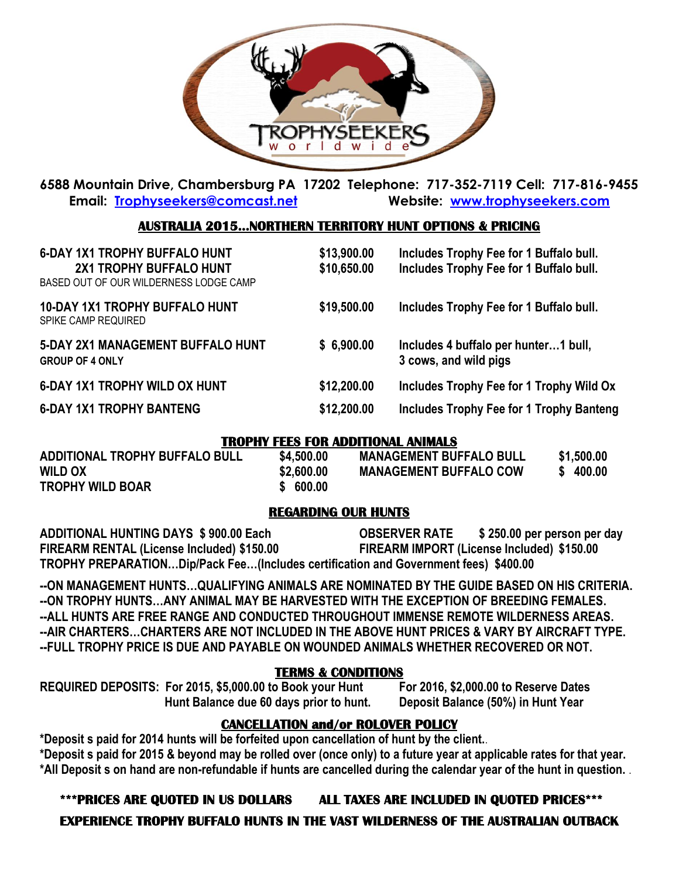

**6588 Mountain Drive, Chambersburg PA 17202 Telephone: 717-352-7119 Cell: 717-816-9455 Email: [Trophyseekers@comcast.net](mailto:Trophyseekers@comcast.net) Website: [www.trophyseekers.com](http://www.trophyseekers.com/)**

### **AUSTRALIA 2015…NORTHERN TERRITORY HUNT OPTIONS & PRICING**

| <b>6-DAY 1X1 TROPHY BUFFALO HUNT</b><br>2X1 TROPHY BUFFALO HUNT<br>BASED OUT OF OUR WILDERNESS LODGE CAMP | \$13,900.00<br>\$10,650.00 | Includes Trophy Fee for 1 Buffalo bull.<br>Includes Trophy Fee for 1 Buffalo bull. |  |
|-----------------------------------------------------------------------------------------------------------|----------------------------|------------------------------------------------------------------------------------|--|
| <b>10-DAY 1X1 TROPHY BUFFALO HUNT</b><br>SPIKE CAMP REQUIRED                                              | \$19,500.00                | Includes Trophy Fee for 1 Buffalo bull.                                            |  |
| <b>5-DAY 2X1 MANAGEMENT BUFFALO HUNT</b><br><b>GROUP OF 4 ONLY</b>                                        | \$6,900.00                 | Includes 4 buffalo per hunter1 bull,<br>3 cows, and wild pigs                      |  |
| <b>6-DAY 1X1 TROPHY WILD OX HUNT</b>                                                                      | \$12,200.00                | Includes Trophy Fee for 1 Trophy Wild Ox                                           |  |
| <b>6-DAY 1X1 TROPHY BANTENG</b>                                                                           | \$12,200.00                | <b>Includes Trophy Fee for 1 Trophy Banteng</b>                                    |  |

#### **TROPHY FEES FOR ADDITIONAL ANIMALS**

| ADDITIONAL TROPHY BUFFALO BULL | \$4,500,00 | <b>MANAGEMENT BUFFALO BULL</b> | \$1,500.00 |
|--------------------------------|------------|--------------------------------|------------|
| <b>WILD OX</b>                 | \$2,600.00 | <b>MANAGEMENT BUFFALO COW</b>  | \$400.00   |
| <b>TROPHY WILD BOAR</b>        | \$600.00   |                                |            |

### **REGARDING OUR HUNTS**

**ADDITIONAL HUNTING DAYS \$ 900.00 Each OBSERVER RATE \$ 250.00 per person per day FIREARM RENTAL (License Included) \$150.00 FIREARM IMPORT (License Included) \$150.00 TROPHY PREPARATION…Dip/Pack Fee…(Includes certification and Government fees) \$400.00**

**--ON MANAGEMENT HUNTS…QUALIFYING ANIMALS ARE NOMINATED BY THE GUIDE BASED ON HIS CRITERIA. --ON TROPHY HUNTS…ANY ANIMAL MAY BE HARVESTED WITH THE EXCEPTION OF BREEDING FEMALES. --ALL HUNTS ARE FREE RANGE AND CONDUCTED THROUGHOUT IMMENSE REMOTE WILDERNESS AREAS. --AIR CHARTERS…CHARTERS ARE NOT INCLUDED IN THE ABOVE HUNT PRICES & VARY BY AIRCRAFT TYPE. --FULL TROPHY PRICE IS DUE AND PAYABLE ON WOUNDED ANIMALS WHETHER RECOVERED OR NOT.**

#### **TERMS & CONDITIONS**

**REQUIRED DEPOSITS: For 2015, \$5,000.00 to Book your Hunt For 2016, \$2,000.00 to Reserve Dates Hunt Balance due 60 days prior to hunt. Deposit Balance (50%) in Hunt Year**

# **CANCELLATION and/or ROLOVER POLICY**

**\*Deposit s paid for 2014 hunts will be forfeited upon cancellation of hunt by the client.**. **\*Deposit s paid for 2015 & beyond may be rolled over (once only) to a future year at applicable rates for that year. \*All Deposit s on hand are non-refundable if hunts are cancelled during the calendar year of the hunt in question.** .

## **\*\*\*PRICES ARE QUOTED IN US DOLLARS ALL TAXES ARE INCLUDED IN QUOTED PRICES\*\*\***

**EXPERIENCE TROPHY BUFFALO HUNTS IN THE VAST WILDERNESS OF THE AUSTRALIAN OUTBACK**